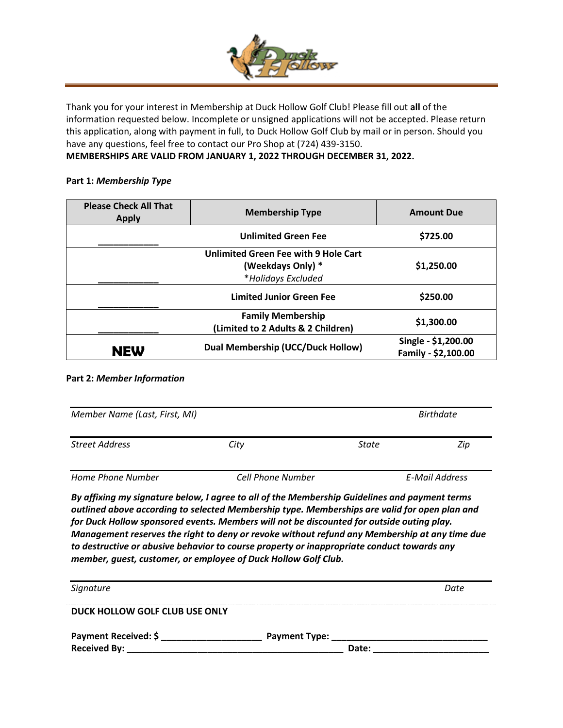

Thank you for your interest in Membership at Duck Hollow Golf Club! Please fill out **all** of the information requested below. Incomplete or unsigned applications will not be accepted. Please return this application, along with payment in full, to Duck Hollow Golf Club by mail or in person. Should you have any questions, feel free to contact our Pro Shop at (724) 439-3150.

## **MEMBERSHIPS ARE VALID FROM JANUARY 1, 2022 THROUGH DECEMBER 31, 2022.**

## **Part 1:** *Membership Type*

| <b>Please Check All That</b><br><b>Apply</b> | <b>Membership Type</b>                   | <b>Amount Due</b>   |  |  |
|----------------------------------------------|------------------------------------------|---------------------|--|--|
|                                              | <b>Unlimited Green Fee</b>               | \$725.00            |  |  |
| Unlimited Green Fee with 9 Hole Cart         |                                          |                     |  |  |
| (Weekdays Only) *                            |                                          | \$1,250.00          |  |  |
|                                              | *Holidays Excluded                       |                     |  |  |
|                                              | <b>Limited Junior Green Fee</b>          | \$250.00            |  |  |
|                                              | <b>Family Membership</b>                 | \$1,300.00          |  |  |
|                                              | (Limited to 2 Adults & 2 Children)       |                     |  |  |
| <b>NEW</b>                                   | <b>Dual Membership (UCC/Duck Hollow)</b> | Single - \$1,200.00 |  |  |
|                                              |                                          | Family - \$2,100.00 |  |  |

## **Part 2:** *Member Information*

| Member Name (Last, First, MI) |                          | <b>Birthdate</b> |     |
|-------------------------------|--------------------------|------------------|-----|
| <b>Street Address</b>         | City                     | <b>State</b>     | Zip |
| Home Phone Number             | <b>Cell Phone Number</b> | E-Mail Address   |     |

*By affixing my signature below, I agree to all of the Membership Guidelines and payment terms outlined above according to selected Membership type. Memberships are valid for open plan and for Duck Hollow sponsored events. Members will not be discounted for outside outing play. Management reserves the right to deny or revoke without refund any Membership at any time due to destructive or abusive behavior to course property or inappropriate conduct towards any member, guest, customer, or employee of Duck Hollow Golf Club.*

| Signature                                                                                                                                                                                                                      |                      | Date |
|--------------------------------------------------------------------------------------------------------------------------------------------------------------------------------------------------------------------------------|----------------------|------|
| DUCK HOLLOW GOLF CLUB USE ONLY                                                                                                                                                                                                 |                      |      |
| <b>Payment Received: \$</b>                                                                                                                                                                                                    | <b>Payment Type:</b> |      |
| Received By: Network and Security and Security and Security and Security and Security and Security and Security and Security and Security and Security and Security and Security and Security and Security and Security and Se | Date:                |      |